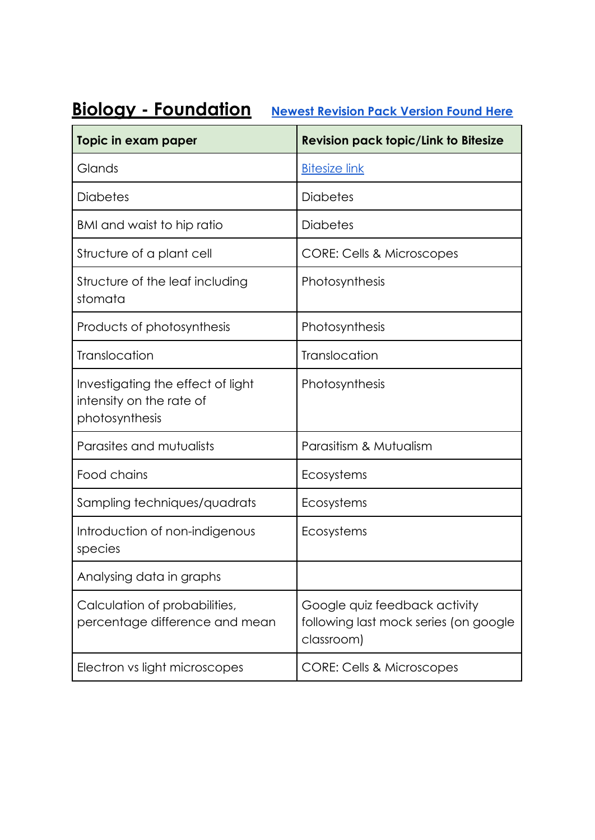## **Biology - Foundation [Newest Revision Pack Version](https://drive.google.com/file/d/1Wyt4gMwWJ6AM9gCIa_2DoUQduxm1Lymm/view?usp=sharing) Found Here**

| Topic in exam paper                                                             | <b>Revision pack topic/Link to Bitesize</b>                                          |
|---------------------------------------------------------------------------------|--------------------------------------------------------------------------------------|
| Glands                                                                          | <b>Bitesize link</b>                                                                 |
| <b>Diabetes</b>                                                                 | <b>Diabetes</b>                                                                      |
| BMI and waist to hip ratio                                                      | <b>Diabetes</b>                                                                      |
| Structure of a plant cell                                                       | <b>CORE: Cells &amp; Microscopes</b>                                                 |
| Structure of the leaf including<br>stomata                                      | Photosynthesis                                                                       |
| Products of photosynthesis                                                      | Photosynthesis                                                                       |
| Translocation                                                                   | Translocation                                                                        |
| Investigating the effect of light<br>intensity on the rate of<br>photosynthesis | Photosynthesis                                                                       |
| Parasites and mutualists                                                        | Parasitism & Mutualism                                                               |
| Food chains                                                                     | Ecosystems                                                                           |
| Sampling techniques/quadrats                                                    | Ecosystems                                                                           |
| Introduction of non-indigenous<br>species                                       | Ecosystems                                                                           |
| Analysing data in graphs                                                        |                                                                                      |
| Calculation of probabilities,<br>percentage difference and mean                 | Google quiz feedback activity<br>following last mock series (on google<br>classroom) |
| Electron vs light microscopes                                                   | <b>CORE: Cells &amp; Microscopes</b>                                                 |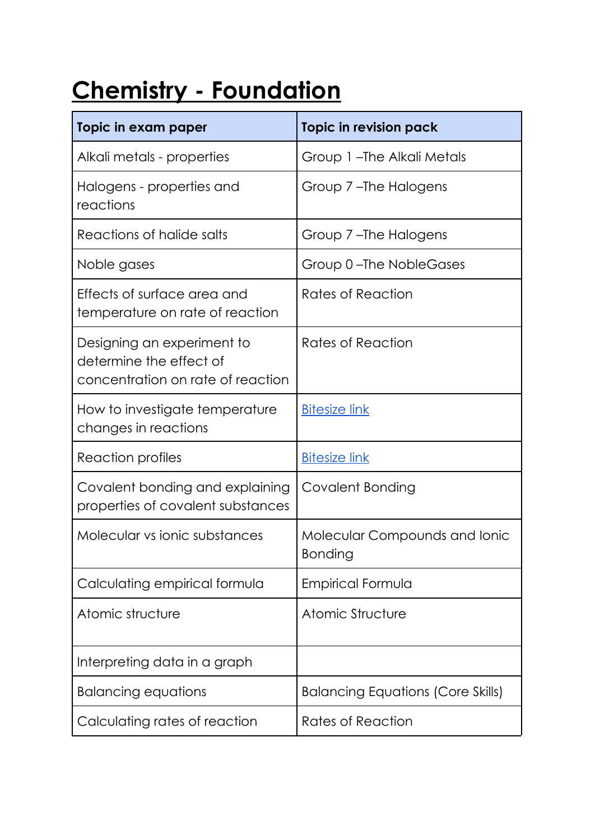## **Chemistry - Foundation**

| Topic in exam paper                                                                        | <b>Topic in revision pack</b>                   |
|--------------------------------------------------------------------------------------------|-------------------------------------------------|
| Alkali metals - properties                                                                 | Group 1-The Alkali Metals                       |
| Halogens - properties and<br>reactions                                                     | Group 7-The Halogens                            |
| Reactions of halide salts                                                                  | Group 7-The Halogens                            |
| Noble gases                                                                                | Group 0-The NobleGases                          |
| Effects of surface area and<br>temperature on rate of reaction                             | Rates of Reaction                               |
| Designing an experiment to<br>determine the effect of<br>concentration on rate of reaction | Rates of Reaction                               |
| How to investigate temperature<br>changes in reactions                                     | <b>Bitesize link</b>                            |
| Reaction profiles                                                                          | <b>Bitesize link</b>                            |
| Covalent bonding and explaining<br>properties of covalent substances                       | Covalent Bonding                                |
| Molecular vs ionic substances                                                              | Molecular Compounds and Ionic<br><b>Bonding</b> |
| Calculating empirical formula                                                              | Empirical Formula                               |
| Atomic structure                                                                           | Atomic Structure                                |
| Interpreting data in a graph                                                               |                                                 |
| <b>Balancing equations</b>                                                                 | <b>Balancing Equations (Core Skills)</b>        |
| Calculating rates of reaction                                                              | Rates of Reaction                               |